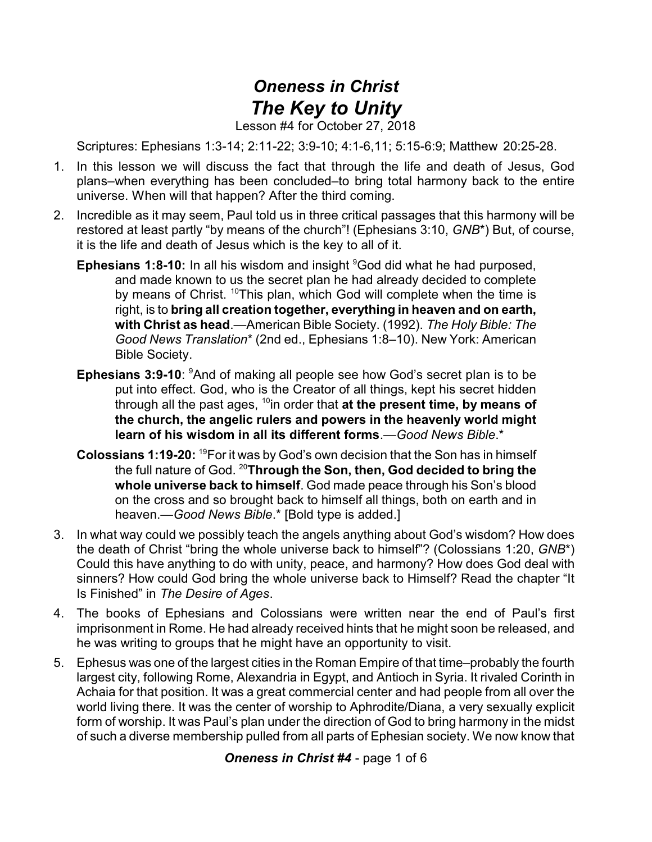## *Oneness in Christ The Key to Unity*

Lesson #4 for October 27, 2018

Scriptures: Ephesians 1:3-14; 2:11-22; 3:9-10; 4:1-6,11; 5:15-6:9; Matthew 20:25-28.

- 1. In this lesson we will discuss the fact that through the life and death of Jesus, God plans–when everything has been concluded–to bring total harmony back to the entire universe. When will that happen? After the third coming.
- 2. Incredible as it may seem, Paul told us in three critical passages that this harmony will be restored at least partly "by means of the church"! (Ephesians 3:10, *GNB*\*) But, of course, it is the life and death of Jesus which is the key to all of it.
	- **Ephesians 1:8-10:** In all his wisdom and insight <sup>9</sup>God did what he had purposed, and made known to us the secret plan he had already decided to complete by means of Christ. <sup>10</sup>This plan, which God will complete when the time is right, is to **bring all creation together, everything in heaven and on earth, with Christ as head**.—American Bible Society. (1992). *The Holy Bible: The Good News Translation*\* (2nd ed., Ephesians 1:8–10). New York: American Bible Society.
	- **Ephesians 3:9-10**: <sup>9</sup>And of making all people see how God's secret plan is to be put into effect. God, who is the Creator of all things, kept his secret hidden through all the past ages, <sup>10</sup>in order that **at the present time, by means of the church, the angelic rulers and powers in the heavenly world might learn of his wisdom in all its different forms**.—*Good News Bible*.\*
	- **Colossians 1:19-20:** <sup>19</sup>For it was by God's own decision that the Son has in himself the full nature of God. <sup>20</sup>**Through the Son, then, God decided to bring the whole universe back to himself**. God made peace through his Son's blood on the cross and so brought back to himself all things, both on earth and in heaven.—*Good News Bible*.\* [Bold type is added.]
- 3. In what way could we possibly teach the angels anything about God's wisdom? How does the death of Christ "bring the whole universe back to himself"? (Colossians 1:20, *GNB*\*) Could this have anything to do with unity, peace, and harmony? How does God deal with sinners? How could God bring the whole universe back to Himself? Read the chapter "It Is Finished" in *The Desire of Ages*.
- 4. The books of Ephesians and Colossians were written near the end of Paul's first imprisonment in Rome. He had already received hints that he might soon be released, and he was writing to groups that he might have an opportunity to visit.
- 5. Ephesus was one of the largest cities in the Roman Empire of that time–probably the fourth largest city, following Rome, Alexandria in Egypt, and Antioch in Syria. It rivaled Corinth in Achaia for that position. It was a great commercial center and had people from all over the world living there. It was the center of worship to Aphrodite/Diana, a very sexually explicit form of worship. It was Paul's plan under the direction of God to bring harmony in the midst of such a diverse membership pulled from all parts of Ephesian society. We now know that

*Oneness in Christ #4* - page 1 of 6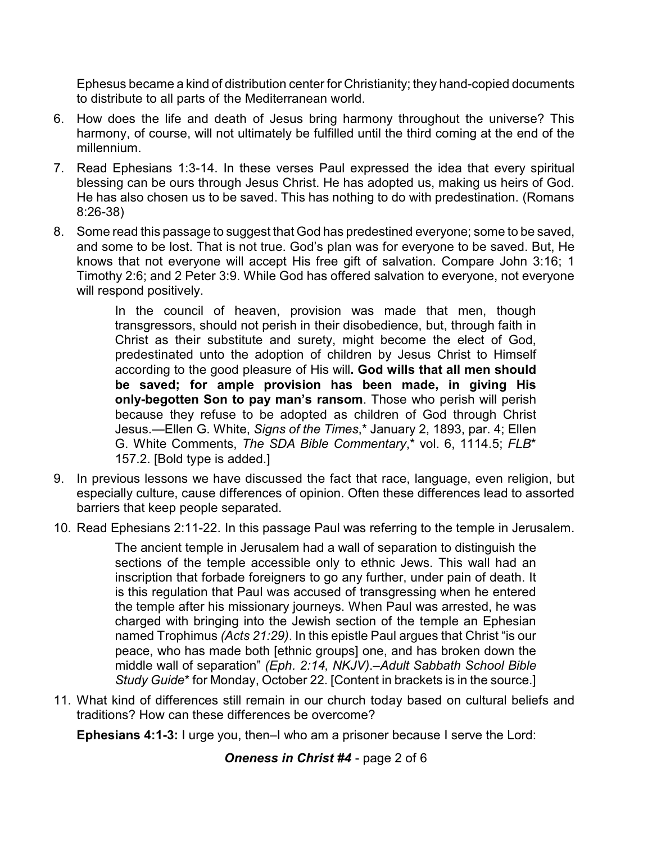Ephesus became a kind of distribution center for Christianity; they hand-copied documents to distribute to all parts of the Mediterranean world.

- 6. How does the life and death of Jesus bring harmony throughout the universe? This harmony, of course, will not ultimately be fulfilled until the third coming at the end of the millennium.
- 7. Read Ephesians 1:3-14. In these verses Paul expressed the idea that every spiritual blessing can be ours through Jesus Christ. He has adopted us, making us heirs of God. He has also chosen us to be saved. This has nothing to do with predestination. (Romans 8:26-38)
- 8. Some read this passage to suggest that God has predestined everyone; some to be saved, and some to be lost. That is not true. God's plan was for everyone to be saved. But, He knows that not everyone will accept His free gift of salvation. Compare John 3:16; 1 Timothy 2:6; and 2 Peter 3:9. While God has offered salvation to everyone, not everyone will respond positively.

In the council of heaven, provision was made that men, though transgressors, should not perish in their disobedience, but, through faith in Christ as their substitute and surety, might become the elect of God, predestinated unto the adoption of children by Jesus Christ to Himself according to the good pleasure of His will**. God wills that all men should be saved; for ample provision has been made, in giving His only-begotten Son to pay man's ransom**. Those who perish will perish because they refuse to be adopted as children of God through Christ Jesus.—Ellen G. White, *Signs of the Times*,\* January 2, 1893, par. 4; Ellen G. White Comments, *The SDA Bible Commentary*,\* vol. 6, 1114.5; *FLB*\* 157.2. [Bold type is added.]

- 9. In previous lessons we have discussed the fact that race, language, even religion, but especially culture, cause differences of opinion. Often these differences lead to assorted barriers that keep people separated.
- 10. Read Ephesians 2:11-22. In this passage Paul was referring to the temple in Jerusalem.

The ancient temple in Jerusalem had a wall of separation to distinguish the sections of the temple accessible only to ethnic Jews. This wall had an inscription that forbade foreigners to go any further, under pain of death. It is this regulation that Paul was accused of transgressing when he entered the temple after his missionary journeys. When Paul was arrested, he was charged with bringing into the Jewish section of the temple an Ephesian named Trophimus *(Acts 21:29)*. In this epistle Paul argues that Christ "is our peace, who has made both [ethnic groups] one, and has broken down the middle wall of separation" *(Eph. 2:14, NKJV)*.–*Adult Sabbath School Bible Study Guide*\* for Monday, October 22. [Content in brackets is in the source.]

11. What kind of differences still remain in our church today based on cultural beliefs and traditions? How can these differences be overcome?

**Ephesians 4:1-3:** I urge you, then–I who am a prisoner because I serve the Lord:

*Oneness in Christ #4* - page 2 of 6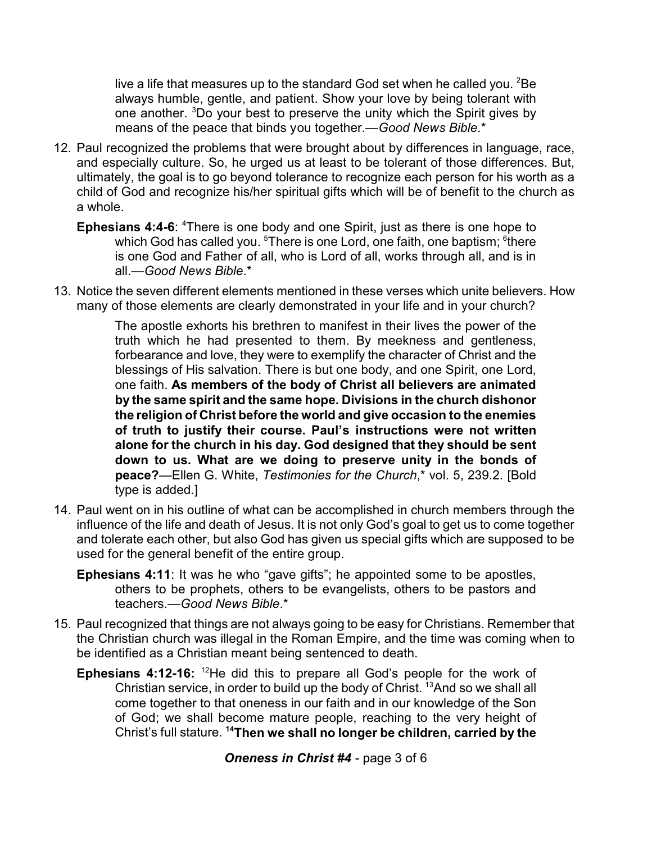live a life that measures up to the standard God set when he called you.  ${}^{2}$ Be always humble, gentle, and patient. Show your love by being tolerant with one another. <sup>3</sup>Do your best to preserve the unity which the Spirit gives by means of the peace that binds you together.—*Good News Bible*.\*

- 12. Paul recognized the problems that were brought about by differences in language, race, and especially culture. So, he urged us at least to be tolerant of those differences. But, ultimately, the goal is to go beyond tolerance to recognize each person for his worth as a child of God and recognize his/her spiritual gifts which will be of benefit to the church as a whole.
	- **Ephesians 4:4-6:** <sup>4</sup>There is one body and one Spirit, just as there is one hope to which God has called you.  $^5$ There is one Lord, one faith, one baptism;  $^6$ there is one God and Father of all, who is Lord of all, works through all, and is in all.—*Good News Bible*.\*
- 13. Notice the seven different elements mentioned in these verses which unite believers. How many of those elements are clearly demonstrated in your life and in your church?

The apostle exhorts his brethren to manifest in their lives the power of the truth which he had presented to them. By meekness and gentleness, forbearance and love, they were to exemplify the character of Christ and the blessings of His salvation. There is but one body, and one Spirit, one Lord, one faith. **As members of the body of Christ all believers are animated by the same spirit and the same hope. Divisions in the church dishonor the religion of Christ before the world and give occasion to the enemies of truth to justify their course. Paul's instructions were not written alone for the church in his day. God designed that they should be sent down to us. What are we doing to preserve unity in the bonds of peace?**—Ellen G. White, *Testimonies for the Church*,\* vol. 5, 239.2. [Bold type is added.]

- 14. Paul went on in his outline of what can be accomplished in church members through the influence of the life and death of Jesus. It is not only God's goal to get us to come together and tolerate each other, but also God has given us special gifts which are supposed to be used for the general benefit of the entire group.
	- **Ephesians 4:11**: It was he who "gave gifts"; he appointed some to be apostles, others to be prophets, others to be evangelists, others to be pastors and teachers.—*Good News Bible*.\*
- 15. Paul recognized that things are not always going to be easy for Christians. Remember that the Christian church was illegal in the Roman Empire, and the time was coming when to be identified as a Christian meant being sentenced to death.
	- **Ephesians 4:12-16:** <sup>12</sup>He did this to prepare all God's people for the work of Christian service, in order to build up the body of Christ. <sup>13</sup>And so we shall all come together to that oneness in our faith and in our knowledge of the Son of God; we shall become mature people, reaching to the very height of Christ's full stature. **<sup>14</sup>Then we shall no longer be children, carried by the**

*Oneness in Christ #4* - page 3 of 6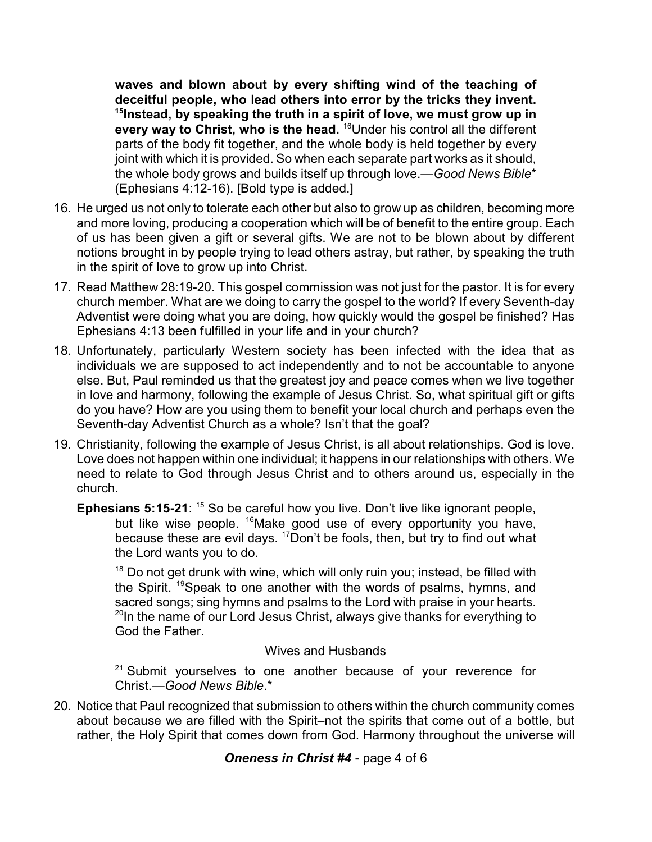**waves and blown about by every shifting wind of the teaching of deceitful people, who lead others into error by the tricks they invent. 15 Instead, by speaking the truth in a spirit of love, we must grow up in every way to Christ, who is the head.** <sup>16</sup>Under his control all the different parts of the body fit together, and the whole body is held together by every joint with which it is provided. So when each separate part works as it should, the whole body grows and builds itself up through love.—*Good News Bible*\* (Ephesians 4:12-16). [Bold type is added.]

- 16. He urged us not only to tolerate each other but also to grow up as children, becoming more and more loving, producing a cooperation which will be of benefit to the entire group. Each of us has been given a gift or several gifts. We are not to be blown about by different notions brought in by people trying to lead others astray, but rather, by speaking the truth in the spirit of love to grow up into Christ.
- 17. Read Matthew 28:19-20. This gospel commission was not just for the pastor. It is for every church member. What are we doing to carry the gospel to the world? If every Seventh-day Adventist were doing what you are doing, how quickly would the gospel be finished? Has Ephesians 4:13 been fulfilled in your life and in your church?
- 18. Unfortunately, particularly Western society has been infected with the idea that as individuals we are supposed to act independently and to not be accountable to anyone else. But, Paul reminded us that the greatest joy and peace comes when we live together in love and harmony, following the example of Jesus Christ. So, what spiritual gift or gifts do you have? How are you using them to benefit your local church and perhaps even the Seventh-day Adventist Church as a whole? Isn't that the goal?
- 19. Christianity, following the example of Jesus Christ, is all about relationships. God is love. Love does not happen within one individual; it happens in our relationships with others. We need to relate to God through Jesus Christ and to others around us, especially in the church.
	- **Ephesians 5:15-21**: <sup>15</sup> So be careful how you live. Don't live like ignorant people, but like wise people. <sup>16</sup>Make good use of every opportunity you have, because these are evil days.  $17$ Don't be fools, then, but try to find out what the Lord wants you to do.

<sup>18</sup> Do not get drunk with wine, which will only ruin you; instead, be filled with the Spirit. <sup>19</sup>Speak to one another with the words of psalms, hymns, and sacred songs; sing hymns and psalms to the Lord with praise in your hearts. <sup>20</sup>In the name of our Lord Jesus Christ, always give thanks for everything to God the Father.

## Wives and Husbands

<sup>21</sup> Submit yourselves to one another because of your reverence for Christ.—*Good News Bible*.\*

20. Notice that Paul recognized that submission to others within the church community comes about because we are filled with the Spirit–not the spirits that come out of a bottle, but rather, the Holy Spirit that comes down from God. Harmony throughout the universe will

## *Oneness in Christ #4* - page 4 of 6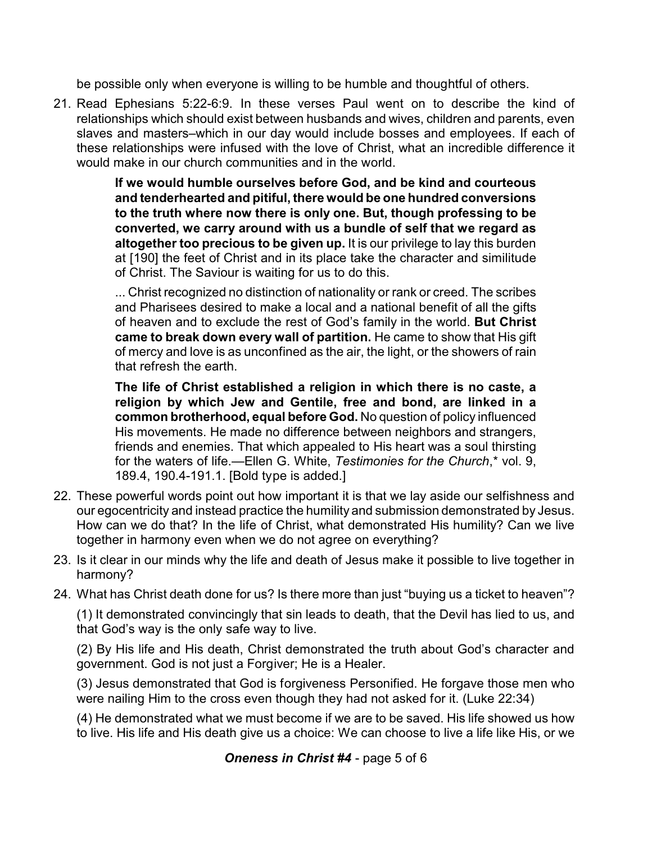be possible only when everyone is willing to be humble and thoughtful of others.

21. Read Ephesians 5:22-6:9. In these verses Paul went on to describe the kind of relationships which should exist between husbands and wives, children and parents, even slaves and masters–which in our day would include bosses and employees. If each of these relationships were infused with the love of Christ, what an incredible difference it would make in our church communities and in the world.

> **If we would humble ourselves before God, and be kind and courteous and tenderhearted and pitiful, there would be one hundred conversions to the truth where now there is only one. But, though professing to be converted, we carry around with us a bundle of self that we regard as altogether too precious to be given up.** It is our privilege to lay this burden at [190] the feet of Christ and in its place take the character and similitude of Christ. The Saviour is waiting for us to do this.

> ... Christ recognized no distinction of nationality or rank or creed. The scribes and Pharisees desired to make a local and a national benefit of all the gifts of heaven and to exclude the rest of God's family in the world. **But Christ came to break down every wall of partition.** He came to show that His gift of mercy and love is as unconfined as the air, the light, or the showers of rain that refresh the earth.

> **The life of Christ established a religion in which there is no caste, a religion by which Jew and Gentile, free and bond, are linked in a common brotherhood, equal before God.** No question of policy influenced His movements. He made no difference between neighbors and strangers, friends and enemies. That which appealed to His heart was a soul thirsting for the waters of life.—Ellen G. White, *Testimonies for the Church*,\* vol. 9, 189.4, 190.4-191.1. [Bold type is added.]

- 22. These powerful words point out how important it is that we lay aside our selfishness and our egocentricity and instead practice the humility and submission demonstrated by Jesus. How can we do that? In the life of Christ, what demonstrated His humility? Can we live together in harmony even when we do not agree on everything?
- 23. Is it clear in our minds why the life and death of Jesus make it possible to live together in harmony?
- 24. What has Christ death done for us? Is there more than just "buying us a ticket to heaven"?

(1) It demonstrated convincingly that sin leads to death, that the Devil has lied to us, and that God's way is the only safe way to live.

(2) By His life and His death, Christ demonstrated the truth about God's character and government. God is not just a Forgiver; He is a Healer.

(3) Jesus demonstrated that God is forgiveness Personified. He forgave those men who were nailing Him to the cross even though they had not asked for it. (Luke 22:34)

(4) He demonstrated what we must become if we are to be saved. His life showed us how to live. His life and His death give us a choice: We can choose to live a life like His, or we

*Oneness in Christ #4* - page 5 of 6